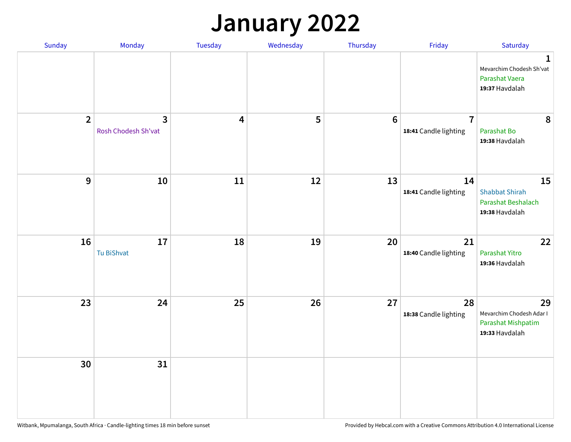## **January 2022**

| Sunday         | Monday                              | Tuesday                 | Wednesday | Thursday | Friday                                  | Saturday                                                                     |
|----------------|-------------------------------------|-------------------------|-----------|----------|-----------------------------------------|------------------------------------------------------------------------------|
|                |                                     |                         |           |          |                                         | $\mathbf{1}$<br>Mevarchim Chodesh Sh'vat<br>Parashat Vaera<br>19:37 Havdalah |
| $\overline{2}$ | $\mathbf{3}$<br>Rosh Chodesh Sh'vat | $\overline{\mathbf{4}}$ | 5         | $6\,$    | $\overline{7}$<br>18:41 Candle lighting | 8<br>Parashat Bo<br>19:38 Havdalah                                           |
| $\mathbf{9}$   | 10                                  | 11                      | 12        | 13       | 14<br>18:41 Candle lighting             | 15<br><b>Shabbat Shirah</b><br>Parashat Beshalach<br>19:38 Havdalah          |
| 16             | 17<br>Tu BiShvat                    | 18                      | 19        | 20       | 21<br>18:40 Candle lighting             | 22<br>Parashat Yitro<br>19:36 Havdalah                                       |
| 23             | 24                                  | 25                      | 26        | 27       | 28<br>18:38 Candle lighting             | 29<br>Mevarchim Chodesh Adar I<br>Parashat Mishpatim<br>19:33 Havdalah       |
| 30             | 31                                  |                         |           |          |                                         |                                                                              |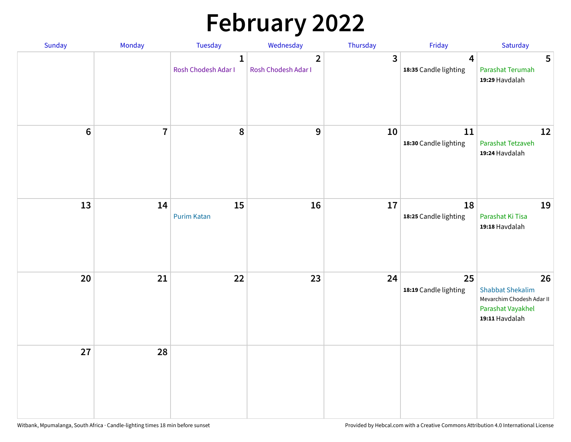# **February 2022**

| Sunday | Monday         | <b>Tuesday</b>                      | Wednesday                             | Thursday | Friday                                           | Saturday                                                                                          |
|--------|----------------|-------------------------------------|---------------------------------------|----------|--------------------------------------------------|---------------------------------------------------------------------------------------------------|
|        |                | $\mathbf{1}$<br>Rosh Chodesh Adar I | $\overline{2}$<br>Rosh Chodesh Adar I | 3        | $\overline{\mathbf{4}}$<br>18:35 Candle lighting | 5<br>Parashat Terumah<br>19:29 Havdalah                                                           |
| $6\,$  | $\overline{7}$ | 8                                   | 9                                     | 10       | 11<br>18:30 Candle lighting                      | 12<br>Parashat Tetzaveh<br>19:24 Havdalah                                                         |
| 13     | 14             | 15<br><b>Purim Katan</b>            | 16                                    | 17       | 18<br>18:25 Candle lighting                      | 19<br>Parashat Ki Tisa<br>19:18 Havdalah                                                          |
| 20     | 21             | 22                                  | 23                                    | 24       | 25<br>18:19 Candle lighting                      | 26<br><b>Shabbat Shekalim</b><br>Mevarchim Chodesh Adar II<br>Parashat Vayakhel<br>19:11 Havdalah |
| 27     | 28             |                                     |                                       |          |                                                  |                                                                                                   |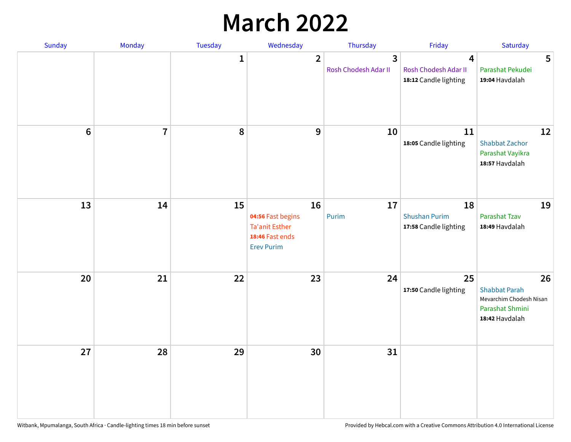## **March 2022**

| Sunday           | Monday                  | <b>Tuesday</b> | Wednesday                                                                                | Thursday                  | Friday                                              | Saturday                                                                                   |
|------------------|-------------------------|----------------|------------------------------------------------------------------------------------------|---------------------------|-----------------------------------------------------|--------------------------------------------------------------------------------------------|
|                  |                         | $\mathbf{1}$   | $\overline{2}$                                                                           | 3<br>Rosh Chodesh Adar II | 4<br>Rosh Chodesh Adar II<br>18:12 Candle lighting  | 5<br>Parashat Pekudei<br>19:04 Havdalah                                                    |
| $\boldsymbol{6}$ | $\overline{\mathbf{r}}$ | 8              | 9                                                                                        | 10                        | 11<br>18:05 Candle lighting                         | 12<br><b>Shabbat Zachor</b><br>Parashat Vayikra<br>18:57 Havdalah                          |
| 13               | 14                      | 15             | 16<br>04:56 Fast begins<br><b>Ta'anit Esther</b><br>18:46 Fast ends<br><b>Erev Purim</b> | 17<br>Purim               | 18<br><b>Shushan Purim</b><br>17:58 Candle lighting | 19<br>Parashat Tzav<br>18:49 Havdalah                                                      |
| 20               | 21                      | 22             | 23                                                                                       | 24                        | 25<br>17:50 Candle lighting                         | 26<br><b>Shabbat Parah</b><br>Mevarchim Chodesh Nisan<br>Parashat Shmini<br>18:42 Havdalah |
| 27               | 28                      | 29             | 30                                                                                       | 31                        |                                                     |                                                                                            |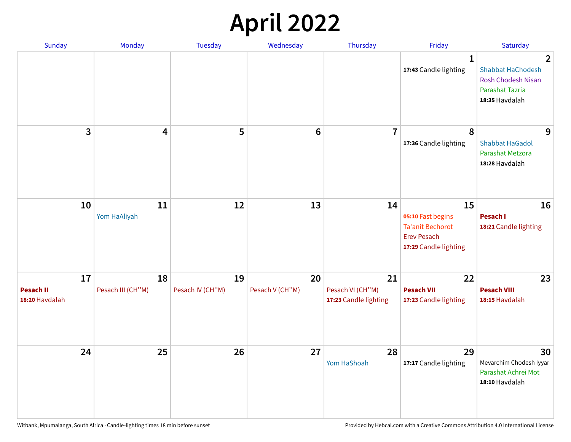## **April 2022**

| Sunday                                   | Monday                  | <b>Tuesday</b>         | Wednesday             | Thursday                                        | Friday                                                                                            | Saturday                                                                                                            |
|------------------------------------------|-------------------------|------------------------|-----------------------|-------------------------------------------------|---------------------------------------------------------------------------------------------------|---------------------------------------------------------------------------------------------------------------------|
|                                          |                         |                        |                       |                                                 | $\mathbf{1}$<br>17:43 Candle lighting                                                             | $\overline{2}$<br><b>Shabbat HaChodesh</b><br><b>Rosh Chodesh Nisan</b><br><b>Parashat Tazria</b><br>18:35 Havdalah |
| 3                                        | $\overline{\mathbf{4}}$ | 5                      | $6\phantom{1}6$       | $\overline{7}$                                  | 8<br>17:36 Candle lighting                                                                        | 9<br><b>Shabbat HaGadol</b><br>Parashat Metzora<br>18:28 Havdalah                                                   |
| 10                                       | 11<br>Yom HaAliyah      | 12                     | 13                    | 14                                              | 15<br>05:10 Fast begins<br><b>Ta'anit Bechorot</b><br><b>Erev Pesach</b><br>17:29 Candle lighting | 16<br>Pesach I<br>18:21 Candle lighting                                                                             |
| 17<br><b>Pesach II</b><br>18:20 Havdalah | 18<br>Pesach III (CH"M) | 19<br>Pesach IV (CH"M) | 20<br>Pesach V (CH"M) | 21<br>Pesach VI (CH"M)<br>17:23 Candle lighting | 22<br><b>Pesach VII</b><br>17:23 Candle lighting                                                  | 23<br><b>Pesach VIII</b><br>18:15 Havdalah                                                                          |
| 24                                       | 25                      | 26                     | 27                    | 28<br>Yom HaShoah                               | 29<br>17:17 Candle lighting                                                                       | 30<br>Mevarchim Chodesh Iyyar<br>Parashat Achrei Mot<br>18:10 Havdalah                                              |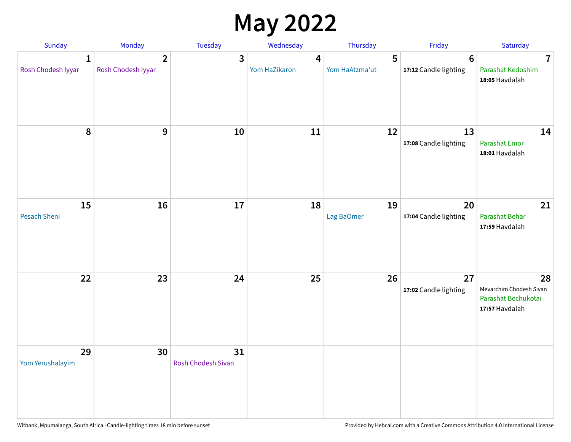## **May 2022**

| Sunday                  | Monday                               | Tuesday                         | Wednesday          | Thursday            | Friday                                  | Saturday                                                               |
|-------------------------|--------------------------------------|---------------------------------|--------------------|---------------------|-----------------------------------------|------------------------------------------------------------------------|
| 1<br>Rosh Chodesh Iyyar | $\overline{2}$<br>Rosh Chodesh Iyyar | 3                               | 4<br>Yom HaZikaron | 5<br>Yom HaAtzma'ut | $6\phantom{1}$<br>17:12 Candle lighting | $\overline{7}$<br>Parashat Kedoshim<br>18:05 Havdalah                  |
| $\pmb{8}$               | $\mathbf{9}$                         | 10                              | 11                 | 12                  | 13<br>17:08 Candle lighting             | 14<br>Parashat Emor<br>18:01 Havdalah                                  |
| 15<br>Pesach Sheni      | 16                                   | 17                              | 18                 | 19<br>Lag BaOmer    | 20<br>17:04 Candle lighting             | 21<br>Parashat Behar<br>17:59 Havdalah                                 |
| 22                      | 23                                   | 24                              | 25                 | 26                  | 27<br>17:02 Candle lighting             | 28<br>Mevarchim Chodesh Sivan<br>Parashat Bechukotai<br>17:57 Havdalah |
| 29<br>Yom Yerushalayim  | 30                                   | 31<br><b>Rosh Chodesh Sivan</b> |                    |                     |                                         |                                                                        |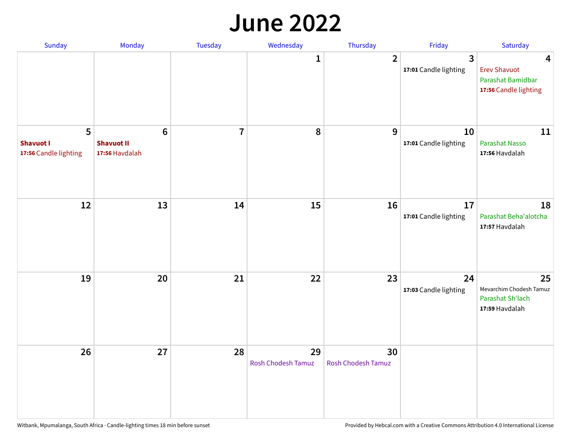#### **June 2022**

| Sunday                                         | Monday                                                 | Tuesday        | Wednesday                       | Thursday                        | Friday                      | Saturday                                                               |
|------------------------------------------------|--------------------------------------------------------|----------------|---------------------------------|---------------------------------|-----------------------------|------------------------------------------------------------------------|
|                                                |                                                        |                | 1                               | $\overline{2}$                  | 3<br>17:01 Candle lighting  | 4<br><b>Erev Shavuot</b><br>Parashat Bamidbar<br>17:56 Candle lighting |
| 5<br><b>Shavuot I</b><br>17:56 Candle lighting | $6\phantom{1}6$<br><b>Shavuot II</b><br>17:56 Havdalah | $\overline{7}$ | 8                               | 9                               | 10<br>17:01 Candle lighting | 11<br><b>Parashat Nasso</b><br>17:56 Havdalah                          |
| 12                                             | 13                                                     | 14             | 15                              | 16                              | 17<br>17:01 Candle lighting | 18<br>Parashat Beha'alotcha<br>17:57 Havdalah                          |
| 19                                             | 20                                                     | 21             | 22                              | 23                              | 24<br>17:03 Candle lighting | 25<br>Mevarchim Chodesh Tamuz<br>Parashat Sh'lach<br>17:59 Havdalah    |
| 26                                             | 27                                                     | 28             | 29<br><b>Rosh Chodesh Tamuz</b> | 30<br><b>Rosh Chodesh Tamuz</b> |                             |                                                                        |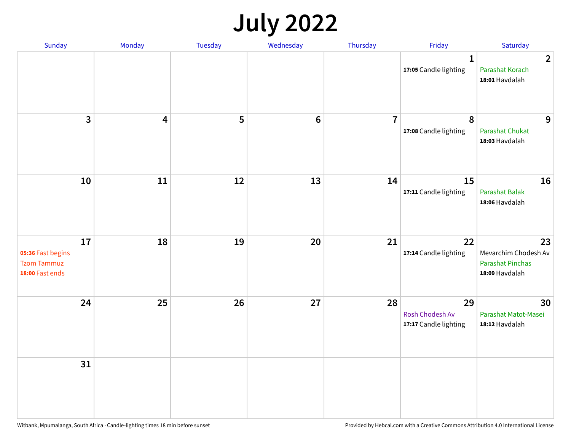## **July 2022**

| Sunday                                                           | Monday                  | Tuesday | Wednesday | Thursday       | Friday                                         | Saturday                                                                |
|------------------------------------------------------------------|-------------------------|---------|-----------|----------------|------------------------------------------------|-------------------------------------------------------------------------|
|                                                                  |                         |         |           |                | $\mathbf{1}$<br>17:05 Candle lighting          | $\overline{2}$<br>Parashat Korach<br>18:01 Havdalah                     |
| $\mathbf{3}$                                                     | $\overline{\mathbf{4}}$ | 5       | $\bf 6$   | $\overline{7}$ | $\pmb{8}$<br>17:08 Candle lighting             | 9<br>Parashat Chukat<br>18:03 Havdalah                                  |
| 10                                                               | 11                      | 12      | 13        | 14             | 15<br>17:11 Candle lighting                    | 16<br><b>Parashat Balak</b><br>18:06 Havdalah                           |
| 17<br>05:36 Fast begins<br><b>Tzom Tammuz</b><br>18:00 Fast ends | 18                      | 19      | 20        | 21             | 22<br>17:14 Candle lighting                    | 23<br>Mevarchim Chodesh Av<br><b>Parashat Pinchas</b><br>18:09 Havdalah |
| 24                                                               | 25                      | 26      | 27        | 28             | 29<br>Rosh Chodesh Av<br>17:17 Candle lighting | 30<br>Parashat Matot-Masei<br>18:12 Havdalah                            |
| 31                                                               |                         |         |           |                |                                                |                                                                         |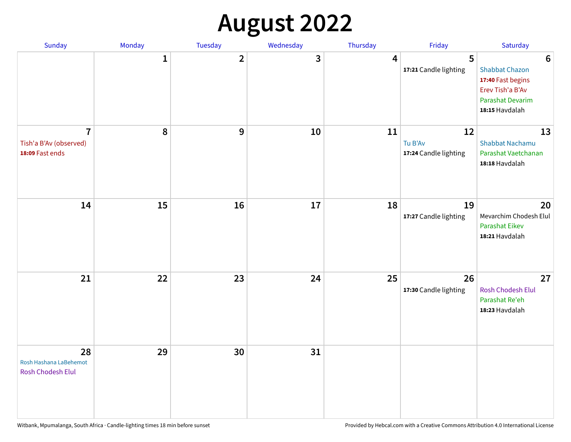## **August 2022**

| Sunday                                                      | Monday       | Tuesday                 | Wednesday | Thursday | Friday                                 | Saturday                                                                                                                       |
|-------------------------------------------------------------|--------------|-------------------------|-----------|----------|----------------------------------------|--------------------------------------------------------------------------------------------------------------------------------|
|                                                             | $\mathbf{1}$ | $\overline{\mathbf{2}}$ | 3         | 4        | 5<br>17:21 Candle lighting             | $6\phantom{1}6$<br><b>Shabbat Chazon</b><br>17:40 Fast begins<br>Erev Tish'a B'Av<br><b>Parashat Devarim</b><br>18:15 Havdalah |
| $\overline{7}$<br>Tish'a B'Av (observed)<br>18:09 Fast ends | 8            | 9                       | 10        | 11       | 12<br>Tu B'Av<br>17:24 Candle lighting | 13<br><b>Shabbat Nachamu</b><br>Parashat Vaetchanan<br>18:18 Havdalah                                                          |
| 14                                                          | 15           | 16                      | 17        | 18       | 19<br>17:27 Candle lighting            | 20<br>Mevarchim Chodesh Elul<br>Parashat Eikev<br>18:21 Havdalah                                                               |
| 21                                                          | 22           | 23                      | 24        | 25       | 26<br>17:30 Candle lighting            | 27<br>Rosh Chodesh Elul<br>Parashat Re'eh<br>18:23 Havdalah                                                                    |
| 28<br>Rosh Hashana LaBehemot<br>Rosh Chodesh Elul           | 29           | 30                      | 31        |          |                                        |                                                                                                                                |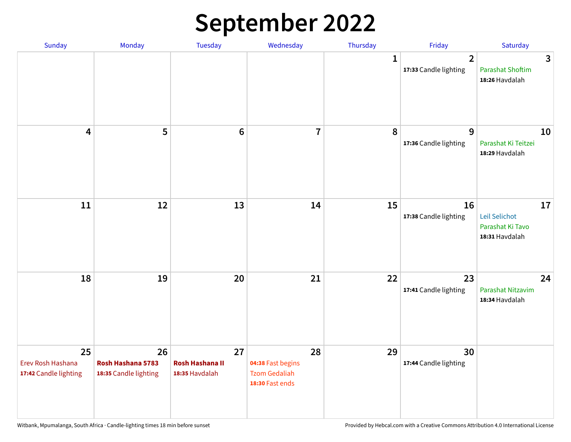## **September 2022**

| Sunday                                           | Monday                                           | Tuesday                                        | Wednesday                                                          | Thursday     | Friday                                  | Saturday                                                  |
|--------------------------------------------------|--------------------------------------------------|------------------------------------------------|--------------------------------------------------------------------|--------------|-----------------------------------------|-----------------------------------------------------------|
|                                                  |                                                  |                                                |                                                                    | $\mathbf{1}$ | $\overline{2}$<br>17:33 Candle lighting | 3<br><b>Parashat Shoftim</b><br>18:26 Havdalah            |
| $\overline{\mathbf{4}}$                          | 5                                                | $6\phantom{1}6$                                | $\overline{7}$                                                     | 8            | 9<br>17:36 Candle lighting              | 10<br>Parashat Ki Teitzei<br>18:29 Havdalah               |
| 11                                               | 12                                               | 13                                             | 14                                                                 | 15           | 16<br>17:38 Candle lighting             | 17<br>Leil Selichot<br>Parashat Ki Tavo<br>18:31 Havdalah |
| 18                                               | 19                                               | 20                                             | 21                                                                 | 22           | 23<br>17:41 Candle lighting             | 24<br>Parashat Nitzavim<br>18:34 Havdalah                 |
| 25<br>Erev Rosh Hashana<br>17:42 Candle lighting | 26<br>Rosh Hashana 5783<br>18:35 Candle lighting | 27<br><b>Rosh Hashana II</b><br>18:35 Havdalah | 28<br>04:38 Fast begins<br><b>Tzom Gedaliah</b><br>18:30 Fast ends | 29           | 30<br>17:44 Candle lighting             |                                                           |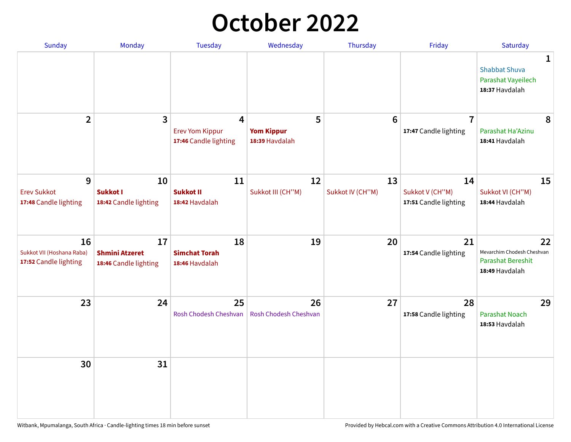## **October 2022**

| Sunday                                                   | Monday                                               | <b>Tuesday</b>                                                    | Wednesday                                | Thursday               | Friday                                         | Saturday                                                                       |
|----------------------------------------------------------|------------------------------------------------------|-------------------------------------------------------------------|------------------------------------------|------------------------|------------------------------------------------|--------------------------------------------------------------------------------|
|                                                          |                                                      |                                                                   |                                          |                        |                                                | 1<br><b>Shabbat Shuva</b><br>Parashat Vayeilech<br>18:37 Havdalah              |
| $\overline{2}$                                           | $\overline{\mathbf{3}}$                              | $\overline{4}$<br><b>Erev Yom Kippur</b><br>17:46 Candle lighting | 5<br><b>Yom Kippur</b><br>18:39 Havdalah | 6                      | $\overline{7}$<br>17:47 Candle lighting        | 8<br>Parashat Ha'Azinu<br>18:41 Havdalah                                       |
| 9<br><b>Erev Sukkot</b><br>17:48 Candle lighting         | 10<br><b>Sukkot I</b><br>18:42 Candle lighting       | 11<br><b>Sukkot II</b><br>18:42 Havdalah                          | 12<br>Sukkot III (CH"M)                  | 13<br>Sukkot IV (CH"M) | 14<br>Sukkot V (CH"M)<br>17:51 Candle lighting | 15<br>Sukkot VI (CH"M)<br>18:44 Havdalah                                       |
| 16<br>Sukkot VII (Hoshana Raba)<br>17:52 Candle lighting | 17<br><b>Shmini Atzeret</b><br>18:46 Candle lighting | 18<br><b>Simchat Torah</b><br>18:46 Havdalah                      | 19                                       | 20                     | 21<br>17:54 Candle lighting                    | 22<br>Mevarchim Chodesh Cheshvan<br><b>Parashat Bereshit</b><br>18:49 Havdalah |
| 23                                                       | 24                                                   | 25<br>Rosh Chodesh Cheshvan                                       | 26<br>Rosh Chodesh Cheshvan              | 27                     | 28<br>17:58 Candle lighting                    | 29<br><b>Parashat Noach</b><br>18:53 Havdalah                                  |
| 30                                                       | 31                                                   |                                                                   |                                          |                        |                                                |                                                                                |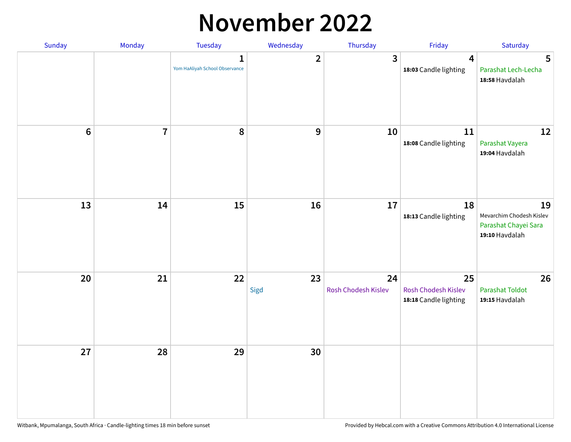#### **November 2022**

| Sunday         | Monday                  | <b>Tuesday</b>                                 | Wednesday        | Thursday                  | Friday                                             | Saturday                                                                 |
|----------------|-------------------------|------------------------------------------------|------------------|---------------------------|----------------------------------------------------|--------------------------------------------------------------------------|
|                |                         | $\mathbf{1}$<br>Yom HaAliyah School Observance | $\overline{2}$   | $\mathbf{3}$              | $\overline{\mathbf{4}}$<br>18:03 Candle lighting   | 5<br>Parashat Lech-Lecha<br>18:58 Havdalah                               |
| $6\phantom{a}$ | $\overline{\mathbf{7}}$ | 8                                              | $\boldsymbol{9}$ | 10                        | 11<br>18:08 Candle lighting                        | 12<br>Parashat Vayera<br>19:04 Havdalah                                  |
| 13             | 14                      | 15                                             | 16               | 17                        | 18<br>18:13 Candle lighting                        | 19<br>Mevarchim Chodesh Kislev<br>Parashat Chayei Sara<br>19:10 Havdalah |
| 20             | 21                      | 22                                             | 23<br>Sigd       | 24<br>Rosh Chodesh Kislev | 25<br>Rosh Chodesh Kislev<br>18:18 Candle lighting | 26<br>Parashat Toldot<br>19:15 Havdalah                                  |
| 27             | 28                      | 29                                             | 30               |                           |                                                    |                                                                          |